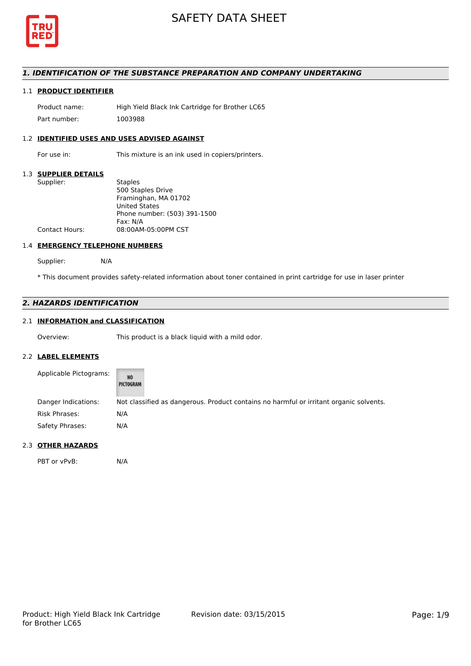

# *1. IDENTIFICATION OF THE SUBSTANCE PREPARATION AND COMPANY UNDERTAKING*

# 1.1 **PRODUCT IDENTIFIER**

Product name: High Yield Black Ink Cartridge for Brother LC65 Part number: 1003988

# 1.2 **IDENTIFIED USES AND USES ADVISED AGAINST**

For use in: This mixture is an ink used in copiers/printers.

#### 1.3 **SUPPLIER DETAILS**

| Supplier:             | <b>Staples</b>               |
|-----------------------|------------------------------|
|                       | 500 Staples Drive            |
|                       | Framinghan, MA 01702         |
|                       | <b>United States</b>         |
|                       | Phone number: (503) 391-1500 |
|                       | Fax: N/A                     |
| <b>Contact Hours:</b> | 08:00AM-05:00PM CST          |
|                       |                              |

### 1.4 **EMERGENCY TELEPHONE NUMBERS**

Supplier: N/A

\* This document provides safety-related information about toner contained in print cartridge for use in laser printer

# *2. HAZARDS IDENTIFICATION*

# 2.1 **INFORMATION and CLASSIFICATION**

Overview: This product is a black liquid with a mild odor.

### 2.2 **LABEL ELEMENTS**

| Applicable Pictograms: | NO<br>PICTOGRAM                                                                        |
|------------------------|----------------------------------------------------------------------------------------|
| Danger Indications:    | Not classified as dangerous. Product contains no harmful or irritant organic solvents. |
| Risk Phrases:          | N/A                                                                                    |
| Safety Phrases:        | N/A                                                                                    |

## 2.3 **OTHER HAZARDS**

PBT or vPvB: N/A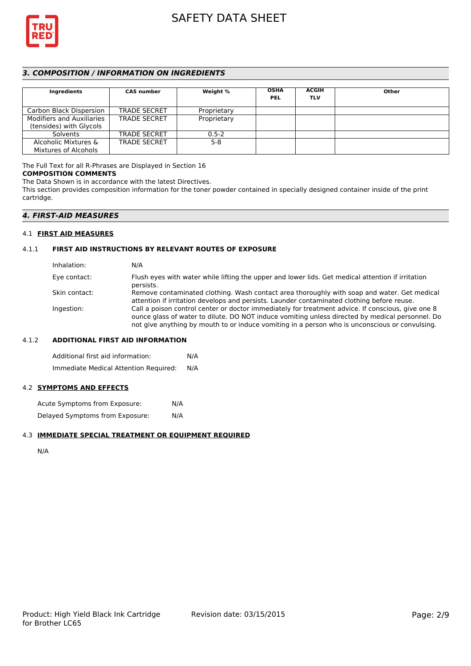

# *3. COMPOSITION / INFORMATION ON INGREDIENTS*

| Ingredients                      | <b>CAS number</b>   | Weight %    | <b>OSHA</b><br><b>PEL</b> | <b>ACGIH</b><br><b>TLV</b> | Other |
|----------------------------------|---------------------|-------------|---------------------------|----------------------------|-------|
| Carbon Black Dispersion          | <b>TRADE SECRET</b> | Proprietary |                           |                            |       |
| <b>Modifiers and Auxiliaries</b> | <b>TRADE SECRET</b> | Proprietary |                           |                            |       |
| (tensides) with Glycols          |                     |             |                           |                            |       |
| Solvents                         | <b>TRADE SECRET</b> | $0.5 - 2$   |                           |                            |       |
| Alcoholic Mixtures &             | <b>TRADE SECRET</b> | $5-8$       |                           |                            |       |
| Mixtures of Alcohols             |                     |             |                           |                            |       |

The Full Text for all R-Phrases are Displayed in Section 16

## **COMPOSITION COMMENTS**

The Data Shown is in accordance with the latest Directives.

This section provides composition information for the toner powder contained in specially designed container inside of the print cartridge.

# *4. FIRST-AID MEASURES*

### 4.1 **FIRST AID MEASURES**

# 4.1.1 **FIRST AID INSTRUCTIONS BY RELEVANT ROUTES OF EXPOSURE**

| Inhalation:   | N/A                                                                                                                                                                                                                                                                                                    |
|---------------|--------------------------------------------------------------------------------------------------------------------------------------------------------------------------------------------------------------------------------------------------------------------------------------------------------|
| Eye contact:  | Flush eyes with water while lifting the upper and lower lids. Get medical attention if irritation<br>persists.                                                                                                                                                                                         |
| Skin contact: | Remove contaminated clothing. Wash contact area thoroughly with soap and water. Get medical<br>attention if irritation develops and persists. Launder contaminated clothing before reuse.                                                                                                              |
| Ingestion:    | Call a poison control center or doctor immediately for treatment advice. If conscious, give one 8<br>ounce glass of water to dilute. DO NOT induce vomiting unless directed by medical personnel. Do<br>not give anything by mouth to or induce vomiting in a person who is unconscious or convulsing. |

## 4.1.2 **ADDITIONAL FIRST AID INFORMATION**

Additional first aid information: N/A Immediate Medical Attention Required: N/A

### 4.2 **SYMPTOMS AND EFFECTS**

Acute Symptoms from Exposure: N/A Delayed Symptoms from Exposure: N/A

## 4.3 **IMMEDIATE SPECIAL TREATMENT OR EQUIPMENT REQUIRED**

N/A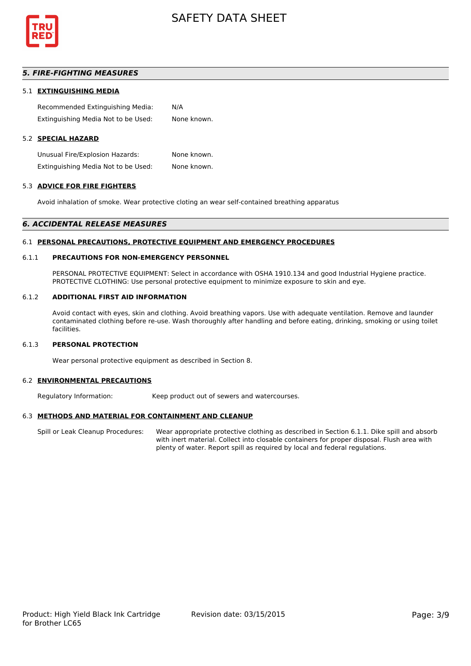

# *5. FIRE-FIGHTING MEASURES*

#### 5.1 **EXTINGUISHING MEDIA**

Recommended Extinguishing Media: N/A Extinguishing Media Not to be Used: None known.

# 5.2 **SPECIAL HAZARD**

Unusual Fire/Explosion Hazards: None known. Extinguishing Media Not to be Used: None known.

#### 5.3 **ADVICE FOR FIRE FIGHTERS**

Avoid inhalation of smoke. Wear protective cloting an wear self-contained breathing apparatus

#### *6. ACCIDENTAL RELEASE MEASURES*

#### 6.1 **PERSONAL PRECAUTIONS, PROTECTIVE EQUIPMENT AND EMERGENCY PROCEDURES**

#### 6.1.1 **PRECAUTIONS FOR NON-EMERGENCY PERSONNEL**

PERSONAL PROTECTIVE EQUIPMENT: Select in accordance with OSHA 1910.134 and good Industrial Hygiene practice. PROTECTIVE CLOTHING: Use personal protective equipment to minimize exposure to skin and eye.

#### 6.1.2 **ADDITIONAL FIRST AID INFORMATION**

Avoid contact with eyes, skin and clothing. Avoid breathing vapors. Use with adequate ventilation. Remove and launder contaminated clothing before re-use. Wash thoroughly after handling and before eating, drinking, smoking or using toilet facilities.

# 6.1.3 **PERSONAL PROTECTION**

Wear personal protective equipment as described in Section 8.

#### 6.2 **ENVIRONMENTAL PRECAUTIONS**

Regulatory Information: Keep product out of sewers and watercourses.

## 6.3 **METHODS AND MATERIAL FOR CONTAINMENT AND CLEANUP**

Spill or Leak Cleanup Procedures: Wear appropriate protective clothing as described in Section 6.1.1. Dike spill and absorb with inert material. Collect into closable containers for proper disposal. Flush area with plenty of water. Report spill as required by local and federal regulations.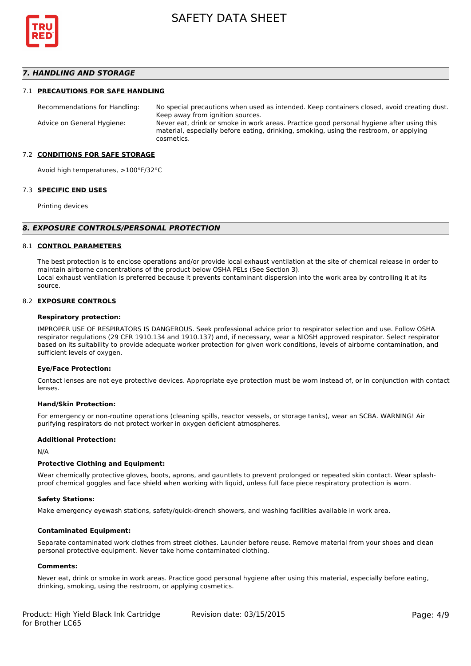

# *7. HANDLING AND STORAGE*

#### 7.1 **PRECAUTIONS FOR SAFE HANDLING**

Recommendations for Handling: No special precautions when used as intended. Keep containers closed, avoid creating dust. Keep away from ignition sources. Advice on General Hygiene: Never eat, drink or smoke in work areas. Practice good personal hygiene after using this material, especially before eating, drinking, smoking, using the restroom, or applying cosmetics.

#### 7.2 **CONDITIONS FOR SAFE STORAGE**

Avoid high temperatures, >100°F/32°C

#### 7.3 **SPECIFIC END USES**

Printing devices

#### *8. EXPOSURE CONTROLS/PERSONAL PROTECTION*

#### 8.1 **CONTROL PARAMETERS**

The best protection is to enclose operations and/or provide local exhaust ventilation at the site of chemical release in order to maintain airborne concentrations of the product below OSHA PELs (See Section 3). Local exhaust ventilation is preferred because it prevents contaminant dispersion into the work area by controlling it at its source.

#### 8.2 **EXPOSURE CONTROLS**

#### **Respiratory protection:**

IMPROPER USE OF RESPIRATORS IS DANGEROUS. Seek professional advice prior to respirator selection and use. Follow OSHA respirator regulations (29 CFR 1910.134 and 1910.137) and, if necessary, wear a NIOSH approved respirator. Select respirator based on its suitability to provide adequate worker protection for given work conditions, levels of airborne contamination, and sufficient levels of oxygen.

#### **Eye/Face Protection:**

Contact lenses are not eye protective devices. Appropriate eye protection must be worn instead of, or in conjunction with contact lenses.

#### **Hand/Skin Protection:**

For emergency or non-routine operations (cleaning spills, reactor vessels, or storage tanks), wear an SCBA. WARNING! Air purifying respirators do not protect worker in oxygen deficient atmospheres.

#### **Additional Protection:**

N/A

#### **Protective Clothing and Equipment:**

Wear chemically protective gloves, boots, aprons, and gauntlets to prevent prolonged or repeated skin contact. Wear splashproof chemical goggles and face shield when working with liquid, unless full face piece respiratory protection is worn.

#### **Safety Stations:**

Make emergency eyewash stations, safety/quick-drench showers, and washing facilities available in work area.

#### **Contaminated Equipment:**

Separate contaminated work clothes from street clothes. Launder before reuse. Remove material from your shoes and clean personal protective equipment. Never take home contaminated clothing.

#### **Comments:**

Never eat, drink or smoke in work areas. Practice good personal hygiene after using this material, especially before eating, drinking, smoking, using the restroom, or applying cosmetics.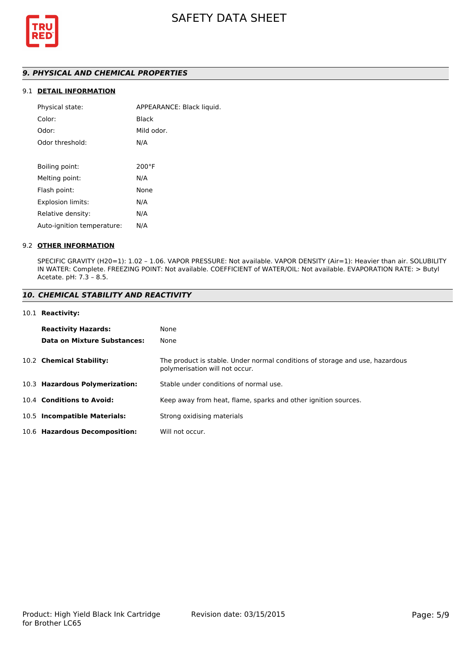

# *9. PHYSICAL AND CHEMICAL PROPERTIES*

# 9.1 **DETAIL INFORMATION**

| APPEARANCE: Black liquid. |
|---------------------------|
| Black                     |
| Mild odor.                |
| N/A                       |
|                           |
| $200^{\circ}$ F           |
| N/A                       |
| None                      |
| N/A                       |
| N/A                       |
| N/A                       |
|                           |

## 9.2 **OTHER INFORMATION**

SPECIFIC GRAVITY (H20=1): 1.02 – 1.06. VAPOR PRESSURE: Not available. VAPOR DENSITY (Air=1): Heavier than air. SOLUBILITY IN WATER: Complete. FREEZING POINT: Not available. COEFFICIENT of WATER/OIL: Not available. EVAPORATION RATE: > Butyl Acetate. pH: 7.3 – 8.5.

## *10. CHEMICAL STABILITY AND REACTIVITY*

#### 10.1 **Reactivity:**

| <b>Reactivity Hazards:</b>     | None                                                                                                           |
|--------------------------------|----------------------------------------------------------------------------------------------------------------|
| Data on Mixture Substances:    | None                                                                                                           |
| 10.2 Chemical Stability:       | The product is stable. Under normal conditions of storage and use, hazardous<br>polymerisation will not occur. |
| 10.3 Hazardous Polymerization: | Stable under conditions of normal use.                                                                         |
| 10.4 Conditions to Avoid:      | Keep away from heat, flame, sparks and other ignition sources.                                                 |
| 10.5 Incompatible Materials:   | Strong oxidising materials                                                                                     |
| 10.6 Hazardous Decomposition:  | Will not occur.                                                                                                |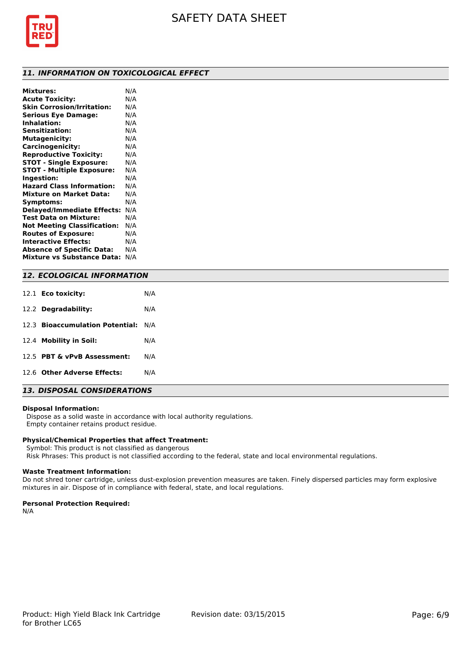

## *11. INFORMATION ON TOXICOLOGICAL EFFECT*

| <b>Mixtures:</b>                   | N/A |
|------------------------------------|-----|
| <b>Acute Toxicity:</b>             | N/A |
| <b>Skin Corrosion/Irritation:</b>  | N/A |
| <b>Serious Eye Damage:</b>         | N/A |
| <b>Inhalation:</b>                 | N/A |
| <b>Sensitization:</b>              | N/A |
| <b>Mutagenicity:</b>               | N/A |
| Carcinogenicity:                   | N/A |
| <b>Reproductive Toxicity:</b>      | N/A |
| <b>STOT - Single Exposure:</b>     | N/A |
| <b>STOT - Multiple Exposure:</b>   | N/A |
| Ingestion:                         | N/A |
| <b>Hazard Class Information:</b>   | N/A |
| <b>Mixture on Market Data:</b>     | N/A |
| Symptoms:                          | N/A |
| <b>Delayed/Immediate Effects:</b>  | N/A |
| Test Data on Mixture:              | N/A |
| <b>Not Meeting Classification:</b> | N/A |
| <b>Routes of Exposure:</b>         | N/A |
| <b>Interactive Effects:</b>        | N/A |
| <b>Absence of Specific Data:</b>   | N/A |
| <b>Mixture vs Substance Data:</b>  | N/A |
|                                    |     |

# *12. ECOLOGICAL INFORMATION*

| 12.1 <b>Eco toxicity:</b>           | N/A |
|-------------------------------------|-----|
| 12.2 Degradability:                 | N/A |
| 12.3 Bioaccumulation Potential: N/A |     |
| 12.4 Mobility in Soil:              | N/A |
| 12.5 PBT & vPvB Assessment:         | N/A |
| 12.6 Other Adverse Effects:         | N/A |

# *13. DISPOSAL CONSIDERATIONS*

## **Disposal Information:**

 Dispose as a solid waste in accordance with local authority regulations. Empty container retains product residue.

# **Physical/Chemical Properties that affect Treatment:**

Symbol: This product is not classified as dangerous

Risk Phrases: This product is not classified according to the federal, state and local environmental regulations.

### **Waste Treatment Information:**

Do not shred toner cartridge, unless dust-explosion prevention measures are taken. Finely dispersed particles may form explosive mixtures in air. Dispose of in compliance with federal, state, and local regulations.

## **Personal Protection Required:**

N/A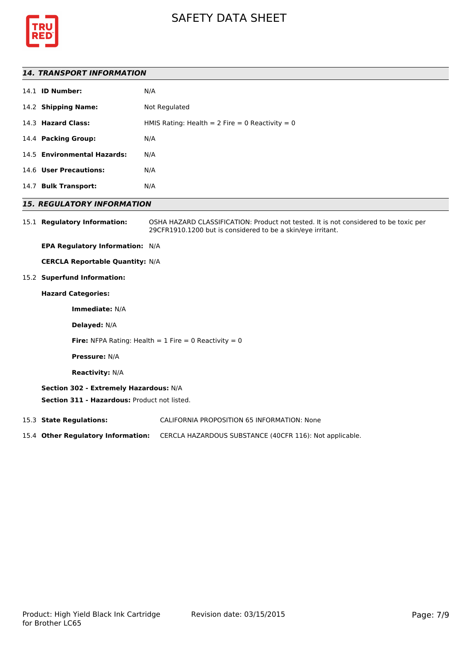



## *14. TRANSPORT INFORMATION*

|      | 14.1 <b>ID Number:</b>      | N/A                                               |
|------|-----------------------------|---------------------------------------------------|
|      | 14.2 Shipping Name:         | Not Regulated                                     |
|      | 14.3 Hazard Class:          | HMIS Rating: Health = $2$ Fire = 0 Reactivity = 0 |
|      | 14.4 Packing Group:         | N/A                                               |
|      | 14.5 Environmental Hazards: | N/A                                               |
|      | 14.6 User Precautions:      | N/A                                               |
| 14.7 | <b>Bulk Transport:</b>      | N/A                                               |
|      |                             |                                                   |

## *15. REGULATORY INFORMATION*

15.1 **Regulatory Information:** OSHA HAZARD CLASSIFICATION: Product not tested. It is not considered to be toxic per 29CFR1910.1200 but is considered to be a skin/eye irritant.

**EPA Regulatory Information:** N/A

**CERCLA Reportable Quantity:** N/A

15.2 **Superfund Information:**

# **Hazard Categories:**

**Immediate:** N/A

**Delayed:** N/A

**Fire:** NFPA Rating: Health  $= 1$  Fire  $= 0$  Reactivity  $= 0$ 

**Pressure:** N/A

**Reactivity:** N/A

## **Section 302 - Extremely Hazardous:** N/A

**Section 311 - Hazardous:** Product not listed.

15.3 **State Regulations:** CALIFORNIA PROPOSITION 65 INFORMATION: None

15.4 **Other Regulatory Information:** CERCLA HAZARDOUS SUBSTANCE (40CFR 116): Not applicable.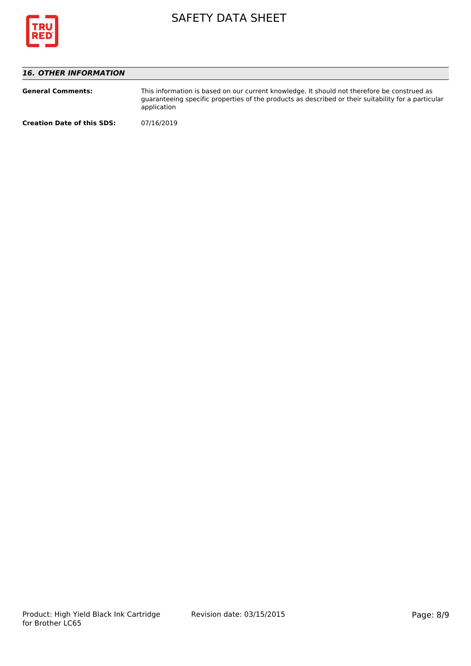

# *16. OTHER INFORMATION*

| <b>General Comments:</b>          | This information is based on our current knowledge. It should not therefore be construed as<br>quaranteeing specific properties of the products as described or their suitability for a particular<br>application |
|-----------------------------------|-------------------------------------------------------------------------------------------------------------------------------------------------------------------------------------------------------------------|
| <b>Creation Date of this SDS:</b> | 07/16/2019                                                                                                                                                                                                        |